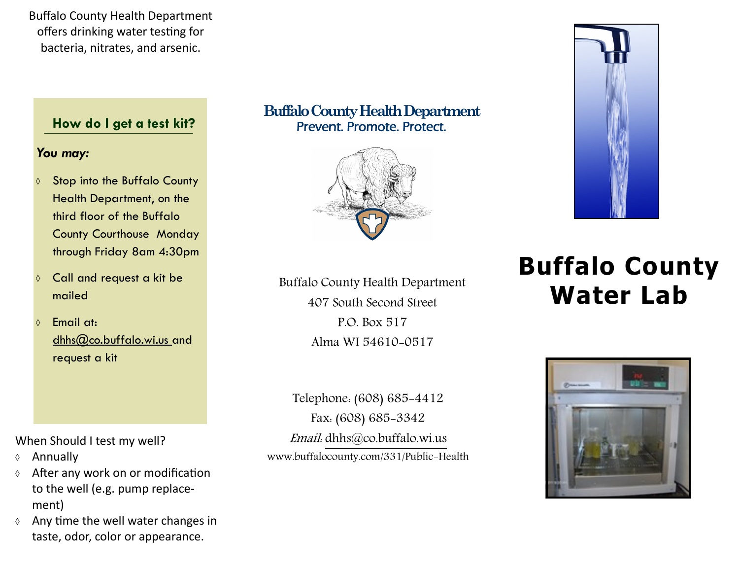Buffalo County Health Department offers drinking water testing for bacteria, nitrates, and arsenic.

# **How do I get a test kit?**

# *You may:*

- ♦ Stop into the Buffalo County Health Department, on the third floor of the Buffalo County Courthouse Monday through Friday 8am 4:30pm
- Call and request a kit be mailed
- $\lozenge$  Email at: dhhs@co.buffalo.wi.us\_and request a kit

When Should I test my well?

- Annually
- $\Diamond$  After any work on or modification to the well (e.g. pump replacement)
- $\Diamond$  Any time the well water changes in taste, odor, color or appearance.

# **Buffalo County Health Department** Prevent. Promote. Protect.



Buffalo County Health Department 407 South Second Street P.O. Box 517 Alma WI 54610-0517

Telephone: (608) 685-4412 Fax: (608) 685-3342 Email: dhhs@co.buffalo.wi.us www.buffalocounty.com/331/Public-Health



# **Buffalo County Water Lab**